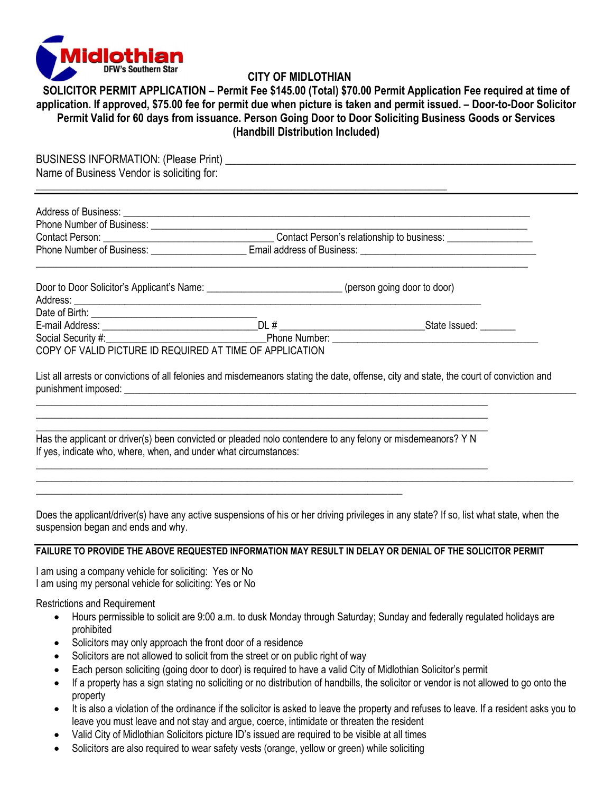

## **CITY OF MIDLOTHIAN**

**SOLICITOR PERMIT APPLICATION – Permit Fee \$145.00 (Total) \$70.00 Permit Application Fee required at time of application. If approved, \$75.00 fee for permit due when picture is taken and permit issued. – Door-to-Door Solicitor Permit Valid for 60 days from issuance. Person Going Door to Door Soliciting Business Goods or Services (Handbill Distribution Included)** 

| Address of Business: <u>example and a series of Business and a series of Business and a series of Business</u> |  |                                                                                                                                         |
|----------------------------------------------------------------------------------------------------------------|--|-----------------------------------------------------------------------------------------------------------------------------------------|
|                                                                                                                |  |                                                                                                                                         |
|                                                                                                                |  |                                                                                                                                         |
|                                                                                                                |  |                                                                                                                                         |
| Door to Door Solicitor's Applicant's Name: ____________________________(person going door to door)             |  |                                                                                                                                         |
|                                                                                                                |  |                                                                                                                                         |
|                                                                                                                |  |                                                                                                                                         |
|                                                                                                                |  |                                                                                                                                         |
| COPY OF VALID PICTURE ID REQUIRED AT TIME OF APPLICATION                                                       |  |                                                                                                                                         |
|                                                                                                                |  | List all arrests or convictions of all felonies and misdemeanors stating the date, offense, city and state, the court of conviction and |
|                                                                                                                |  |                                                                                                                                         |
|                                                                                                                |  |                                                                                                                                         |
| Has the applicant or driver(s) been convicted or pleaded nolo contendere to any felony or misdemeanors? Y N    |  |                                                                                                                                         |

Does the applicant/driver(s) have any active suspensions of his or her driving privileges in any state? If so, list what state, when the suspension began and ends and why.

\_\_\_\_\_\_\_\_\_\_\_\_\_\_\_\_\_\_\_\_\_\_\_\_\_\_\_\_\_\_\_\_\_\_\_\_\_\_\_\_\_\_\_\_\_\_\_\_\_\_\_\_\_\_\_\_\_\_\_\_\_\_\_\_\_\_\_\_\_\_\_\_\_\_\_\_\_\_\_\_\_\_\_\_\_\_\_\_\_\_\_\_\_\_\_\_\_\_\_\_\_\_\_\_\_\_\_

## **FAILURE TO PROVIDE THE ABOVE REQUESTED INFORMATION MAY RESULT IN DELAY OR DENIAL OF THE SOLICITOR PERMIT**

I am using a company vehicle for soliciting: Yes or No I am using my personal vehicle for soliciting: Yes or No

Restrictions and Requirement

- Hours permissible to solicit are 9:00 a.m. to dusk Monday through Saturday; Sunday and federally regulated holidays are prohibited
- Solicitors may only approach the front door of a residence
- Solicitors are not allowed to solicit from the street or on public right of way

\_\_\_\_\_\_\_\_\_\_\_\_\_\_\_\_\_\_\_\_\_\_\_\_\_\_\_\_\_\_\_\_\_\_\_\_\_\_\_\_\_\_\_\_\_\_\_\_\_\_\_\_\_\_\_\_\_\_\_\_\_\_\_\_\_\_\_\_\_\_\_\_\_

- Each person soliciting (going door to door) is required to have a valid City of Midlothian Solicitor's permit
- If a property has a sign stating no soliciting or no distribution of handbills, the solicitor or vendor is not allowed to go onto the property
- It is also a violation of the ordinance if the solicitor is asked to leave the property and refuses to leave. If a resident asks you to leave you must leave and not stay and argue, coerce, intimidate or threaten the resident
- Valid City of Midlothian Solicitors picture ID's issued are required to be visible at all times
- Solicitors are also required to wear safety vests (orange, yellow or green) while soliciting